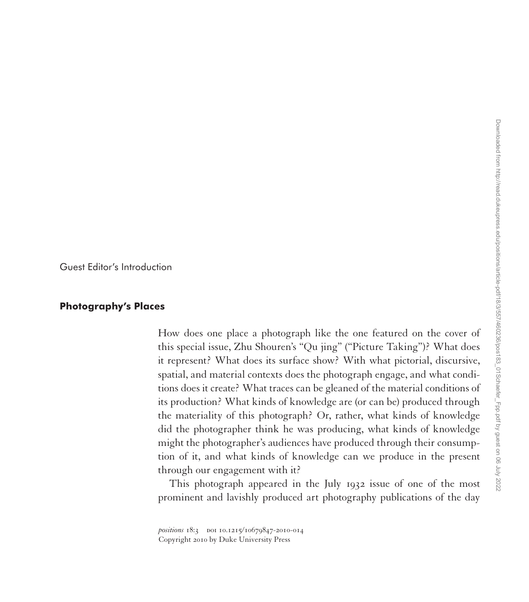Guest Editor's Introduction

## **Photography's Places**

How does one place a photograph like the one featured on the cover of this special issue, Zhu Shouren's "Qu jing" ("Picture Taking")? What does it represent? What does its surface show? With what pictorial, discursive, spatial, and material contexts does the photograph engage, and what conditions does it create? What traces can be gleaned of the material conditions of its production? What kinds of knowledge are (or can be) produced through the materiality of this photograph? Or, rather, what kinds of knowledge did the photographer think he was producing, what kinds of knowledge might the photographer's audiences have produced through their consumption of it, and what kinds of knowledge can we produce in the present through our engagement with it?

This photograph appeared in the July 1932 issue of one of the most prominent and lavishly produced art photography publications of the day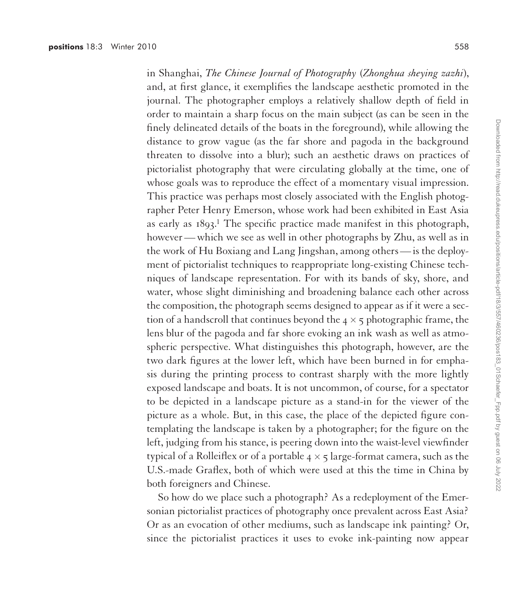in Shanghai, *The Chinese Journal of Photography* (*Zhonghua sheying zazhi*), and, at first glance, it exemplifies the landscape aesthetic promoted in the journal. The photographer employs a relatively shallow depth of field in order to maintain a sharp focus on the main subject (as can be seen in the finely delineated details of the boats in the foreground), while allowing the distance to grow vague (as the far shore and pagoda in the background threaten to dissolve into a blur); such an aesthetic draws on practices of pictorialist photography that were circulating globally at the time, one of whose goals was to reproduce the effect of a momentary visual impression. This practice was perhaps most closely associated with the English photographer Peter Henry Emerson, whose work had been exhibited in East Asia as early as  $1893$ .<sup>1</sup> The specific practice made manifest in this photograph, however— which we see as well in other photographs by Zhu, as well as in the work of Hu Boxiang and Lang Jingshan, among others— is the deployment of pictorialist techniques to reappropriate long-existing Chinese techniques of landscape representation. For with its bands of sky, shore, and water, whose slight diminishing and broadening balance each other across the composition, the photograph seems designed to appear as if it were a section of a handscroll that continues beyond the  $4 \times 5$  photographic frame, the lens blur of the pagoda and far shore evoking an ink wash as well as atmospheric perspective. What distinguishes this photograph, however, are the two dark figures at the lower left, which have been burned in for emphasis during the printing process to contrast sharply with the more lightly exposed landscape and boats. It is not uncommon, of course, for a spectator to be depicted in a landscape picture as a stand-in for the viewer of the picture as a whole. But, in this case, the place of the depicted figure contemplating the landscape is taken by a photographer; for the figure on the left, judging from his stance, is peering down into the waist-level viewfinder typical of a Rolleiflex or of a portable  $4 \times 5$  large-format camera, such as the U.S.-made Graflex, both of which were used at this the time in China by both foreigners and Chinese.

So how do we place such a photograph? As a redeployment of the Emersonian pictorialist practices of photography once prevalent across East Asia? Or as an evocation of other mediums, such as landscape ink painting? Or, since the pictorialist practices it uses to evoke ink-painting now appear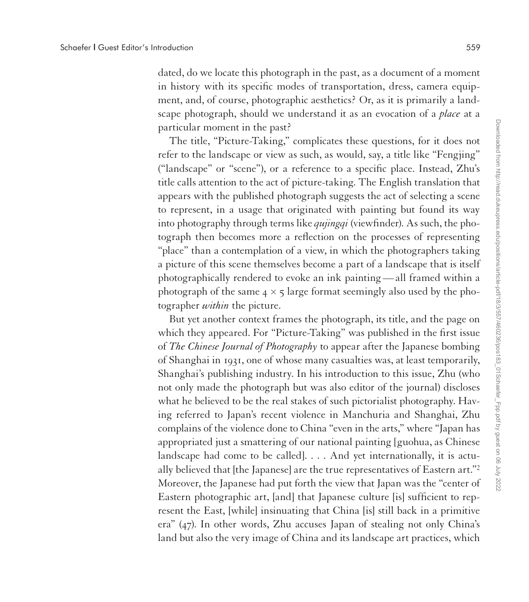dated, do we locate this photograph in the past, as a document of a moment in history with its specific modes of transportation, dress, camera equipment, and, of course, photographic aesthetics? Or, as it is primarily a landscape photograph, should we understand it as an evocation of a *place* at a particular moment in the past?

The title, "Picture-Taking," complicates these questions, for it does not refer to the landscape or view as such, as would, say, a title like "Fengjing" ("landscape" or "scene"), or a reference to a specific place. Instead, Zhu's title calls attention to the act of picture-taking. The English translation that appears with the published photograph suggests the act of selecting a scene to represent, in a usage that originated with painting but found its way into photography through terms like *qujingqi* (viewfinder). As such, the photograph then becomes more a reflection on the processes of representing "place" than a contemplation of a view, in which the photographers taking a picture of this scene themselves become a part of a landscape that is itself photographically rendered to evoke an ink painting— all framed within a photograph of the same  $4 \times 5$  large format seemingly also used by the photographer *within* the picture.

But yet another context frames the photograph, its title, and the page on which they appeared. For "Picture-Taking" was published in the first issue of *The Chinese Journal of Photography* to appear after the Japanese bombing of Shanghai in 1931, one of whose many casualties was, at least temporarily, Shanghai's publishing industry. In his introduction to this issue, Zhu (who not only made the photograph but was also editor of the journal) discloses what he believed to be the real stakes of such pictorialist photography. Having referred to Japan's recent violence in Manchuria and Shanghai, Zhu complains of the violence done to China "even in the arts," where "Japan has appropriated just a smattering of our national painting [guohua, as Chinese landscape had come to be called]. . . . And yet internationally, it is actually believed that [the Japanese] are the true representatives of Eastern art."2 Moreover, the Japanese had put forth the view that Japan was the "center of Eastern photographic art, [and] that Japanese culture [is] sufficient to represent the East, [while] insinuating that China [is] still back in a primitive era" (47). In other words, Zhu accuses Japan of stealing not only China's land but also the very image of China and its landscape art practices, which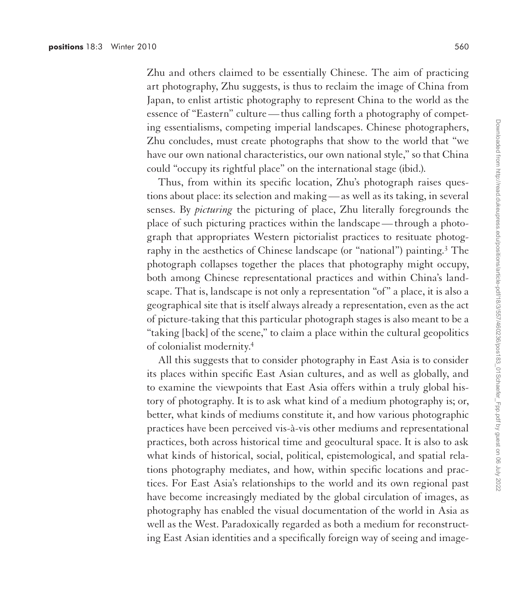Zhu and others claimed to be essentially Chinese. The aim of practicing art photography, Zhu suggests, is thus to reclaim the image of China from Japan, to enlist artistic photography to represent China to the world as the essence of "Eastern" culture— thus calling forth a photography of competing essentialisms, competing imperial landscapes. Chinese photographers, Zhu concludes, must create photographs that show to the world that "we have our own national characteristics, our own national style," so that China could "occupy its rightful place" on the international stage (ibid.).

Thus, from within its specific location, Zhu's photograph raises questions about place: its selection and making— as well as its taking, in several senses. By *picturing* the picturing of place, Zhu literally foregrounds the place of such picturing practices within the landscape— through a photograph that appropriates Western pictorialist practices to resituate photography in the aesthetics of Chinese landscape (or "national") painting.<sup>3</sup> The photograph collapses together the places that photography might occupy, both among Chinese representational practices and within China's landscape. That is, landscape is not only a representation "of" a place, it is also a geographical site that is itself always already a representation, even as the act of picture-taking that this particular photograph stages is also meant to be a "taking [back] of the scene," to claim a place within the cultural geopolitics of colonialist modernity.4

All this suggests that to consider photography in East Asia is to consider its places within specific East Asian cultures, and as well as globally, and to examine the viewpoints that East Asia offers within a truly global history of photography. It is to ask what kind of a medium photography is; or, better, what kinds of mediums constitute it, and how various photographic practices have been perceived vis-à-vis other mediums and representational practices, both across historical time and geocultural space. It is also to ask what kinds of historical, social, political, epistemological, and spatial relations photography mediates, and how, within specific locations and practices. For East Asia's relationships to the world and its own regional past have become increasingly mediated by the global circulation of images, as photography has enabled the visual documentation of the world in Asia as well as the West. Paradoxically regarded as both a medium for reconstructing East Asian identities and a specifically foreign way of seeing and image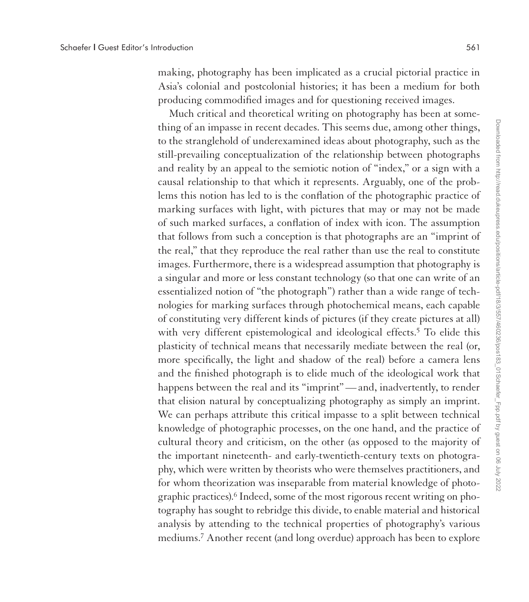making, photography has been implicated as a crucial pictorial practice in Asia's colonial and postcolonial histories; it has been a medium for both producing commodified images and for questioning received images.

Much critical and theoretical writing on photography has been at something of an impasse in recent decades. This seems due, among other things, to the stranglehold of underexamined ideas about photography, such as the still-prevailing conceptualization of the relationship between photographs and reality by an appeal to the semiotic notion of "index," or a sign with a causal relationship to that which it represents. Arguably, one of the problems this notion has led to is the conflation of the photographic practice of marking surfaces with light, with pictures that may or may not be made of such marked surfaces, a conflation of index with icon. The assumption that follows from such a conception is that photographs are an "imprint of the real," that they reproduce the real rather than use the real to constitute images. Furthermore, there is a widespread assumption that photography is a singular and more or less constant technology (so that one can write of an essentialized notion of "the photograph") rather than a wide range of technologies for marking surfaces through photochemical means, each capable of constituting very different kinds of pictures (if they create pictures at all) with very different epistemological and ideological effects.<sup>5</sup> To elide this plasticity of technical means that necessarily mediate between the real (or, more specifically, the light and shadow of the real) before a camera lens and the finished photograph is to elide much of the ideological work that happens between the real and its "imprint"— and, inadvertently, to render that elision natural by conceptualizing photography as simply an imprint. We can perhaps attribute this critical impasse to a split between technical knowledge of photographic processes, on the one hand, and the practice of cultural theory and criticism, on the other (as opposed to the majority of the important nineteenth- and early-twentieth-century texts on photography, which were written by theorists who were themselves practitioners, and for whom theorization was inseparable from material knowledge of photographic practices).6 Indeed, some of the most rigorous recent writing on photography has sought to rebridge this divide, to enable material and historical analysis by attending to the technical properties of photography's various mediums.7 Another recent (and long overdue) approach has been to explore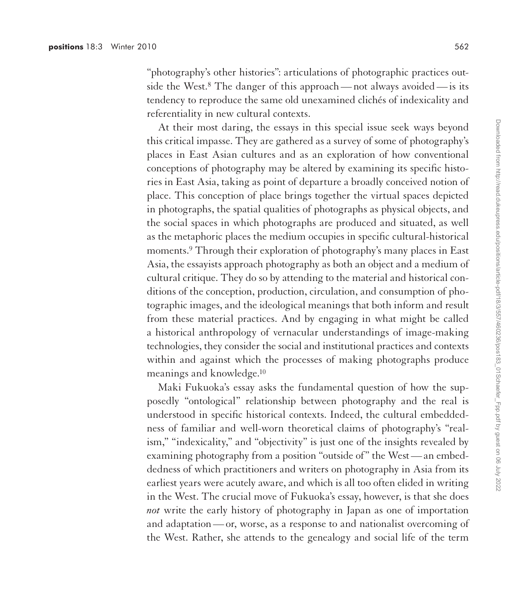"photography's other histories": articulations of photographic practices outside the West.<sup>8</sup> The danger of this approach—not always avoided— is its tendency to reproduce the same old unexamined clichés of indexicality and referentiality in new cultural contexts.

At their most daring, the essays in this special issue seek ways beyond this critical impasse. They are gathered as a survey of some of photography's places in East Asian cultures and as an exploration of how conventional conceptions of photography may be altered by examining its specific histories in East Asia, taking as point of departure a broadly conceived notion of place. This conception of place brings together the virtual spaces depicted in photographs, the spatial qualities of photographs as physical objects, and the social spaces in which photographs are produced and situated, as well as the metaphoric places the medium occupies in specific cultural-historical moments.<sup>9</sup> Through their exploration of photography's many places in East Asia, the essayists approach photography as both an object and a medium of cultural critique. They do so by attending to the material and historical conditions of the conception, production, circulation, and consumption of photographic images, and the ideological meanings that both inform and result from these material practices. And by engaging in what might be called a historical anthropology of vernacular understandings of image-making technologies, they consider the social and institutional practices and contexts within and against which the processes of making photographs produce meanings and knowledge.10

Maki Fukuoka's essay asks the fundamental question of how the supposedly "ontological" relationship between photography and the real is understood in specific historical contexts. Indeed, the cultural embeddedness of familiar and well-worn theoretical claims of photography's "realism," "indexicality," and "objectivity" is just one of the insights revealed by examining photography from a position "outside of" the West— an embeddedness of which practitioners and writers on photography in Asia from its earliest years were acutely aware, and which is all too often elided in writing in the West. The crucial move of Fukuoka's essay, however, is that she does *not* write the early history of photography in Japan as one of importation and adaptation— or, worse, as a response to and nationalist overcoming of the West. Rather, she attends to the genealogy and social life of the term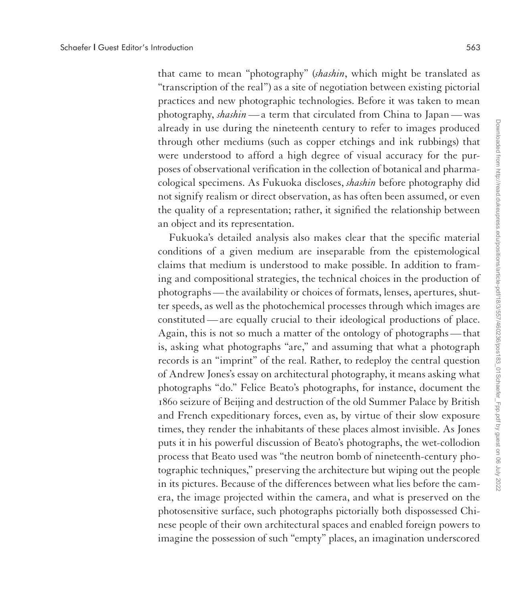that came to mean "photography" (*shashin*, which might be translated as "transcription of the real") as a site of negotiation between existing pictorial practices and new photographic technologies. Before it was taken to mean photography, *shashin*— a term that circulated from China to Japan— was already in use during the nineteenth century to refer to images produced through other mediums (such as copper etchings and ink rubbings) that were understood to afford a high degree of visual accuracy for the purposes of observational verification in the collection of botanical and pharmacological specimens. As Fukuoka discloses, *shashin* before photography did not signify realism or direct observation, as has often been assumed, or even the quality of a representation; rather, it signified the relationship between an object and its representation.

Fukuoka's detailed analysis also makes clear that the specific material conditions of a given medium are inseparable from the epistemological claims that medium is understood to make possible. In addition to framing and compositional strategies, the technical choices in the production of photographs— the availability or choices of formats, lenses, apertures, shutter speeds, as well as the photochemical processes through which images are constituted— are equally crucial to their ideological productions of place. Again, this is not so much a matter of the ontology of photographs— that is, asking what photographs "are," and assuming that what a photograph records is an "imprint" of the real. Rather, to redeploy the central question of Andrew Jones's essay on architectural photography, it means asking what photographs "do." Felice Beato's photographs, for instance, document the 1860 seizure of Beijing and destruction of the old Summer Palace by British and French expeditionary forces, even as, by virtue of their slow exposure times, they render the inhabitants of these places almost invisible. As Jones puts it in his powerful discussion of Beato's photographs, the wet-collodion process that Beato used was "the neutron bomb of nineteenth-century photographic techniques," preserving the architecture but wiping out the people in its pictures. Because of the differences between what lies before the camera, the image projected within the camera, and what is preserved on the photosensitive surface, such photographs pictorially both dispossessed Chinese people of their own architectural spaces and enabled foreign powers to imagine the possession of such "empty" places, an imagination underscored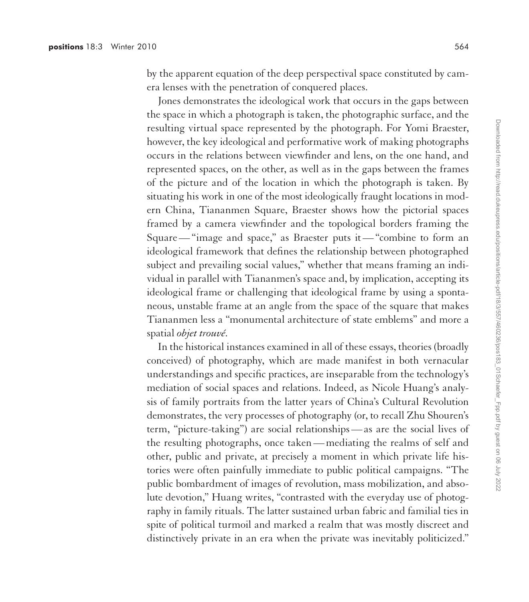by the apparent equation of the deep perspectival space constituted by camera lenses with the penetration of conquered places.

Jones demonstrates the ideological work that occurs in the gaps between the space in which a photograph is taken, the photographic surface, and the resulting virtual space represented by the photograph. For Yomi Braester, however, the key ideological and performative work of making photographs occurs in the relations between viewfinder and lens, on the one hand, and represented spaces, on the other, as well as in the gaps between the frames of the picture and of the location in which the photograph is taken. By situating his work in one of the most ideologically fraught locations in modern China, Tiananmen Square, Braester shows how the pictorial spaces framed by a camera viewfinder and the topological borders framing the Square— "image and space," as Braester puts it— "combine to form an ideological framework that defines the relationship between photographed subject and prevailing social values," whether that means framing an individual in parallel with Tiananmen's space and, by implication, accepting its ideological frame or challenging that ideological frame by using a spontaneous, unstable frame at an angle from the space of the square that makes Tiananmen less a "monumental architecture of state emblems" and more a spatial *objet trouvé*.

In the historical instances examined in all of these essays, theories (broadly conceived) of photography, which are made manifest in both vernacular understandings and specific practices, are inseparable from the technology's mediation of social spaces and relations. Indeed, as Nicole Huang's analysis of family portraits from the latter years of China's Cultural Revolution demonstrates, the very processes of photography (or, to recall Zhu Shouren's term, "picture-taking") are social relationships— as are the social lives of the resulting photographs, once taken— mediating the realms of self and other, public and private, at precisely a moment in which private life histories were often painfully immediate to public political campaigns. "The public bombardment of images of revolution, mass mobilization, and absolute devotion," Huang writes, "contrasted with the everyday use of photography in family rituals. The latter sustained urban fabric and familial ties in spite of political turmoil and marked a realm that was mostly discreet and distinctively private in an era when the private was inevitably politicized."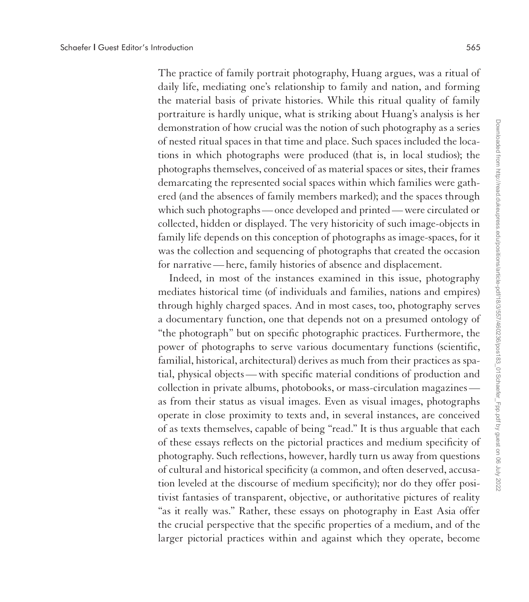The practice of family portrait photography, Huang argues, was a ritual of daily life, mediating one's relationship to family and nation, and forming the material basis of private histories. While this ritual quality of family portraiture is hardly unique, what is striking about Huang's analysis is her demonstration of how crucial was the notion of such photography as a series of nested ritual spaces in that time and place. Such spaces included the locations in which photographs were produced (that is, in local studios); the photographs themselves, conceived of as material spaces or sites, their frames demarcating the represented social spaces within which families were gathered (and the absences of family members marked); and the spaces through which such photographs— once developed and printed— were circulated or collected, hidden or displayed. The very historicity of such image-objects in family life depends on this conception of photographs as image-spaces, for it was the collection and sequencing of photographs that created the occasion for narrative— here, family histories of absence and displacement.

Indeed, in most of the instances examined in this issue, photography mediates historical time (of individuals and families, nations and empires) through highly charged spaces. And in most cases, too, photography serves a documentary function, one that depends not on a presumed ontology of "the photograph" but on specific photographic practices. Furthermore, the power of photographs to serve various documentary functions (scientific, familial, historical, architectural) derives as much from their practices as spatial, physical objects— with specific material conditions of production and collection in private albums, photobooks, or mass-circulation magazines as from their status as visual images. Even as visual images, photographs operate in close proximity to texts and, in several instances, are conceived of as texts themselves, capable of being "read." It is thus arguable that each of these essays reflects on the pictorial practices and medium specificity of photography. Such reflections, however, hardly turn us away from questions of cultural and historical specificity (a common, and often deserved, accusation leveled at the discourse of medium specificity); nor do they offer positivist fantasies of transparent, objective, or authoritative pictures of reality "as it really was." Rather, these essays on photography in East Asia offer the crucial perspective that the specific properties of a medium, and of the larger pictorial practices within and against which they operate, become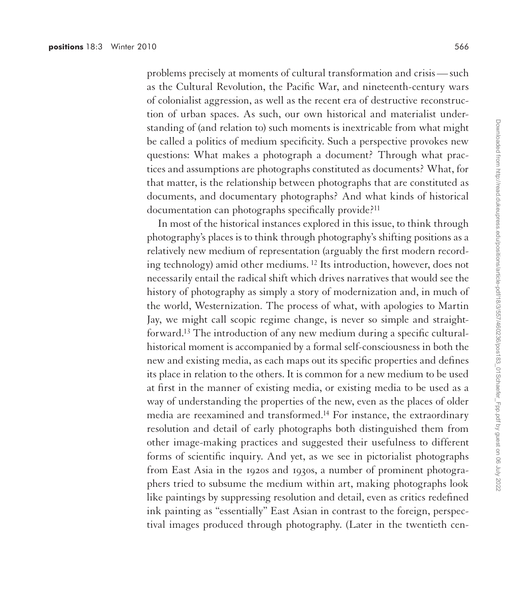problems precisely at moments of cultural transformation and crisis— such as the Cultural Revolution, the Pacific War, and nineteenth-century wars of colonialist aggression, as well as the recent era of destructive reconstruction of urban spaces. As such, our own historical and materialist understanding of (and relation to) such moments is inextricable from what might be called a politics of medium specificity. Such a perspective provokes new questions: What makes a photograph a document? Through what practices and assumptions are photographs constituted as documents? What, for that matter, is the relationship between photographs that are constituted as documents, and documentary photographs? And what kinds of historical documentation can photographs specifically provide?11

In most of the historical instances explored in this issue, to think through photography's places is to think through photography's shifting positions as a relatively new medium of representation (arguably the first modern recording technology) amid other mediums. 12 Its introduction, however, does not necessarily entail the radical shift which drives narratives that would see the history of photography as simply a story of modernization and, in much of the world, Westernization. The process of what, with apologies to Martin Jay, we might call scopic regime change, is never so simple and straightforward.13 The introduction of any new medium during a specific culturalhistorical moment is accompanied by a formal self-consciousness in both the new and existing media, as each maps out its specific properties and defines its place in relation to the others. It is common for a new medium to be used at first in the manner of existing media, or existing media to be used as a way of understanding the properties of the new, even as the places of older media are reexamined and transformed.14 For instance, the extraordinary resolution and detail of early photographs both distinguished them from other image-making practices and suggested their usefulness to different forms of scientific inquiry. And yet, as we see in pictorialist photographs from East Asia in the 1920s and 1930s, a number of prominent photographers tried to subsume the medium within art, making photographs look like paintings by suppressing resolution and detail, even as critics redefined ink painting as "essentially" East Asian in contrast to the foreign, perspectival images produced through photography. (Later in the twentieth cen-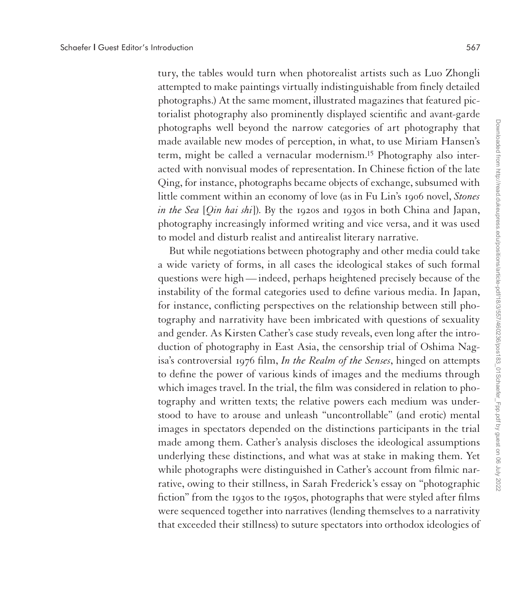tury, the tables would turn when photorealist artists such as Luo Zhongli attempted to make paintings virtually indistinguishable from finely detailed photographs.) At the same moment, illustrated magazines that featured pictorialist photography also prominently displayed scientific and avant-garde photographs well beyond the narrow categories of art photography that made available new modes of perception, in what, to use Miriam Hansen's term, might be called a vernacular modernism.15 Photography also interacted with nonvisual modes of representation. In Chinese fiction of the late Qing, for instance, photographs became objects of exchange, subsumed with little comment within an economy of love (as in Fu Lin's 1906 novel, *Stones in the Sea* [*Qin hai shi*]). By the 1920s and 1930s in both China and Japan, photography increasingly informed writing and vice versa, and it was used to model and disturb realist and antirealist literary narrative.

But while negotiations between photography and other media could take a wide variety of forms, in all cases the ideological stakes of such formal questions were high— indeed, perhaps heightened precisely because of the instability of the formal categories used to define various media. In Japan, for instance, conflicting perspectives on the relationship between still photography and narrativity have been imbricated with questions of sexuality and gender. As Kirsten Cather's case study reveals, even long after the introduction of photography in East Asia, the censorship trial of Oshima Nagisa's controversial 1976 film, *In the Realm of the Senses*, hinged on attempts to define the power of various kinds of images and the mediums through which images travel. In the trial, the film was considered in relation to photography and written texts; the relative powers each medium was understood to have to arouse and unleash "uncontrollable" (and erotic) mental images in spectators depended on the distinctions participants in the trial made among them. Cather's analysis discloses the ideological assumptions underlying these distinctions, and what was at stake in making them. Yet while photographs were distinguished in Cather's account from filmic narrative, owing to their stillness, in Sarah Frederick's essay on "photographic fiction" from the 1930s to the 1950s, photographs that were styled after films were sequenced together into narratives (lending themselves to a narrativity that exceeded their stillness) to suture spectators into orthodox ideologies of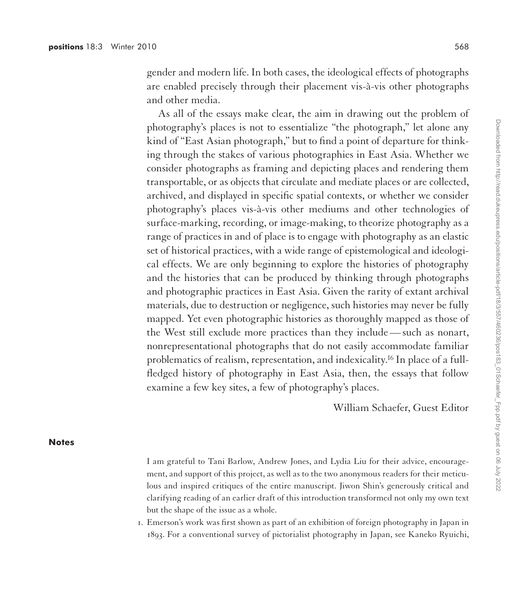gender and modern life. In both cases, the ideological effects of photographs are enabled precisely through their placement vis-à-vis other photographs and other media.

As all of the essays make clear, the aim in drawing out the problem of photography's places is not to essentialize "the photograph," let alone any kind of "East Asian photograph," but to find a point of departure for thinking through the stakes of various photographies in East Asia. Whether we consider photographs as framing and depicting places and rendering them transportable, or as objects that circulate and mediate places or are collected, archived, and displayed in specific spatial contexts, or whether we consider photography's places vis-à-vis other mediums and other technologies of surface-marking, recording, or image-making, to theorize photography as a range of practices in and of place is to engage with photography as an elastic set of historical practices, with a wide range of epistemological and ideological effects. We are only beginning to explore the histories of photography and the histories that can be produced by thinking through photographs and photographic practices in East Asia. Given the rarity of extant archival materials, due to destruction or negligence, such histories may never be fully mapped. Yet even photographic histories as thoroughly mapped as those of the West still exclude more practices than they include— such as nonart, nonrepresentational photographs that do not easily accommodate familiar problematics of realism, representation, and indexicality.16 In place of a fullfledged history of photography in East Asia, then, the essays that follow examine a few key sites, a few of photography's places.

William Schaefer, Guest Editor

## **Notes**

I am grateful to Tani Barlow, Andrew Jones, and Lydia Liu for their advice, encouragement, and support of this project, as well as to the two anonymous readers for their meticulous and inspired critiques of the entire manuscript. Jiwon Shin's generously critical and clarifying reading of an earlier draft of this introduction transformed not only my own text but the shape of the issue as a whole.

1. Emerson's work was first shown as part of an exhibition of foreign photography in Japan in 1893. For a conventional survey of pictorialist photography in Japan, see Kaneko Ryuichi,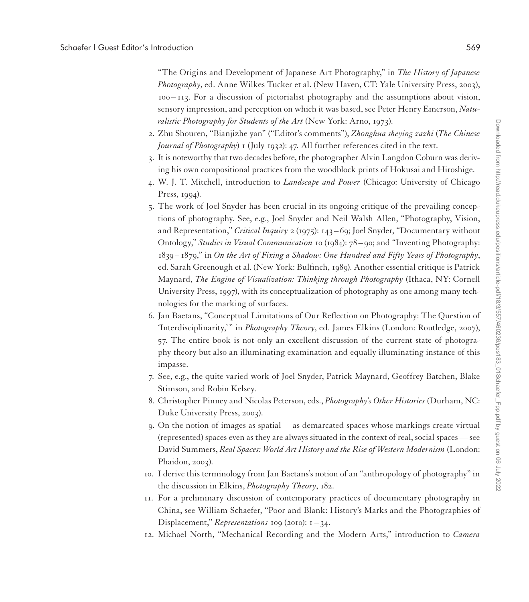"The Origins and Development of Japanese Art Photography," in *The History of Japanese Photography*, ed. Anne Wilkes Tucker et al. (New Haven, CT: Yale University Press, 2003), 100 – 113. For a discussion of pictorialist photography and the assumptions about vision, sensory impression, and perception on which it was based, see Peter Henry Emerson, *Naturalistic Photography for Students of the Art* (New York: Arno, 1973).

- 2. Zhu Shouren, "Bianjizhe yan" ("Editor's comments"), *Zhonghua sheying zazhi* (*The Chinese Journal of Photography*) 1 (July 1932): 47. All further references cited in the text.
- 3. It is noteworthy that two decades before, the photographer Alvin Langdon Coburn was deriving his own compositional practices from the woodblock prints of Hokusai and Hiroshige.
- 4. W. J. T. Mitchell, introduction to *Landscape and Power* (Chicago: University of Chicago Press, 1994).
- 5. The work of Joel Snyder has been crucial in its ongoing critique of the prevailing conceptions of photography. See, e.g., Joel Snyder and Neil Walsh Allen, "Photography, Vision, and Representation," *Critical Inquiry* 2 (1975): 143 – 69; Joel Snyder, "Documentary without Ontology," *Studies in Visual Communication* 10 (1984): 78 – 90; and "Inventing Photography: 1839 – 1879," in *On the Art of Fixing a Shadow: One Hundred and Fifty Years of Photography*, ed. Sarah Greenough et al. (New York: Bulfinch, 1989). Another essential critique is Patrick Maynard, *The Engine of Visualization: Thinking through Photography* (Ithaca, NY: Cornell University Press, 1997), with its conceptualization of photography as one among many technologies for the marking of surfaces.
- 6. Jan Baetans, "Conceptual Limitations of Our Reflection on Photography: The Question of 'Interdisciplinarity,' " in *Photography Theory*, ed. James Elkins (London: Routledge, 2007), 57. The entire book is not only an excellent discussion of the current state of photography theory but also an illuminating examination and equally illuminating instance of this impasse.
- 7. See, e.g., the quite varied work of Joel Snyder, Patrick Maynard, Geoffrey Batchen, Blake Stimson, and Robin Kelsey.
- 8. Christopher Pinney and Nicolas Peterson, eds., *Photography's Other Histories* (Durham, NC: Duke University Press, 2003).
- 9. On the notion of images as spatial— as demarcated spaces whose markings create virtual (represented) spaces even as they are always situated in the context of real, social spaces— see David Summers, *Real Spaces: World Art History and the Rise of Western Modernism* (London: Phaidon, 2003).
- 10. I derive this terminology from Jan Baetans's notion of an "anthropology of photography" in the discussion in Elkins, *Photography Theory*, 182.
- 11. For a preliminary discussion of contemporary practices of documentary photography in China, see William Schaefer, "Poor and Blank: History's Marks and the Photographies of Displacement," *Representations* 109 (2010): 1 – 34.
- 12. Michael North, "Mechanical Recording and the Modern Arts," introduction to *Camera*